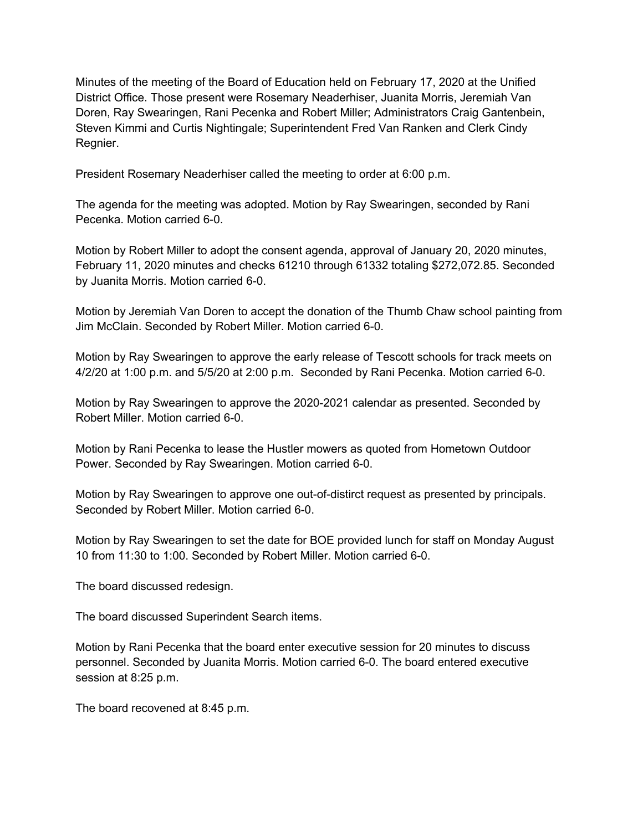Minutes of the meeting of the Board of Education held on February 17, 2020 at the Unified District Office. Those present were Rosemary Neaderhiser, Juanita Morris, Jeremiah Van Doren, Ray Swearingen, Rani Pecenka and Robert Miller; Administrators Craig Gantenbein, Steven Kimmi and Curtis Nightingale; Superintendent Fred Van Ranken and Clerk Cindy Regnier.

President Rosemary Neaderhiser called the meeting to order at 6:00 p.m.

The agenda for the meeting was adopted. Motion by Ray Swearingen, seconded by Rani Pecenka. Motion carried 6-0.

Motion by Robert Miller to adopt the consent agenda, approval of January 20, 2020 minutes, February 11, 2020 minutes and checks 61210 through 61332 totaling \$272,072.85. Seconded by Juanita Morris. Motion carried 6-0.

Motion by Jeremiah Van Doren to accept the donation of the Thumb Chaw school painting from Jim McClain. Seconded by Robert Miller. Motion carried 6-0.

Motion by Ray Swearingen to approve the early release of Tescott schools for track meets on 4/2/20 at 1:00 p.m. and 5/5/20 at 2:00 p.m. Seconded by Rani Pecenka. Motion carried 6-0.

Motion by Ray Swearingen to approve the 2020-2021 calendar as presented. Seconded by Robert Miller. Motion carried 6-0.

Motion by Rani Pecenka to lease the Hustler mowers as quoted from Hometown Outdoor Power. Seconded by Ray Swearingen. Motion carried 6-0.

Motion by Ray Swearingen to approve one out-of-distirct request as presented by principals. Seconded by Robert Miller. Motion carried 6-0.

Motion by Ray Swearingen to set the date for BOE provided lunch for staff on Monday August 10 from 11:30 to 1:00. Seconded by Robert Miller. Motion carried 6-0.

The board discussed redesign.

The board discussed Superindent Search items.

Motion by Rani Pecenka that the board enter executive session for 20 minutes to discuss personnel. Seconded by Juanita Morris. Motion carried 6-0. The board entered executive session at 8:25 p.m.

The board recovened at 8:45 p.m.